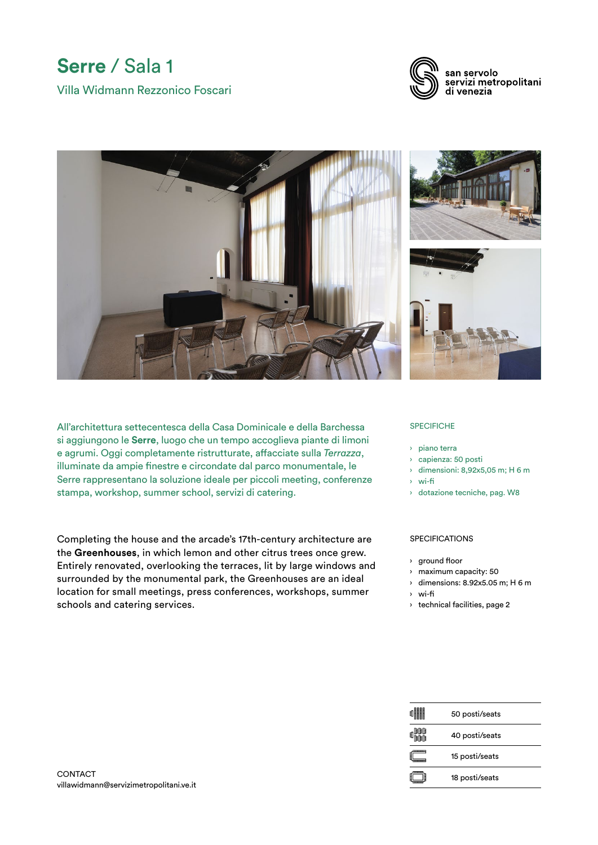## **Serre** / Sala 1 Villa Widmann Rezzonico Foscari



san servolo servizi metropolitani di venezia



All'architettura settecentesca della Casa Dominicale e della Barchessa si aggiungono le **Serre**, luogo che un tempo accoglieva piante di limoni e agrumi. Oggi completamente ristrutturate, affacciate sulla *Terrazza*, illuminate da ampie finestre e circondate dal parco monumentale, le Serre rappresentano la soluzione ideale per piccoli meeting, conferenze stampa, workshop, summer school, servizi di catering.

Completing the house and the arcade's 17th-century architecture are the **Greenhouses**, in which lemon and other citrus trees once grew. Entirely renovated, overlooking the terraces, lit by large windows and surrounded by the monumental park, the Greenhouses are an ideal location for small meetings, press conferences, workshops, summer schools and catering services.

## **SPECIFICHE**

- › piano terra
- › capienza: 50 posti
- › dimensioni: 8,92x5,05 m; H 6 m
- › wi-fi
- › dotazione tecniche, pag. W8

## SPECIFICATIONS

- › ground floor
- › maximum capacity: 50
- › dimensions: 8.92x5.05 m; H 6 m
- › wi-fi
- › technical facilities, page 2

| 蠅瞷         | 50 posti/seats |
|------------|----------------|
| 邮邮<br>1111 | 40 posti/seats |
|            | 15 posti/seats |
|            | 18 posti/seats |